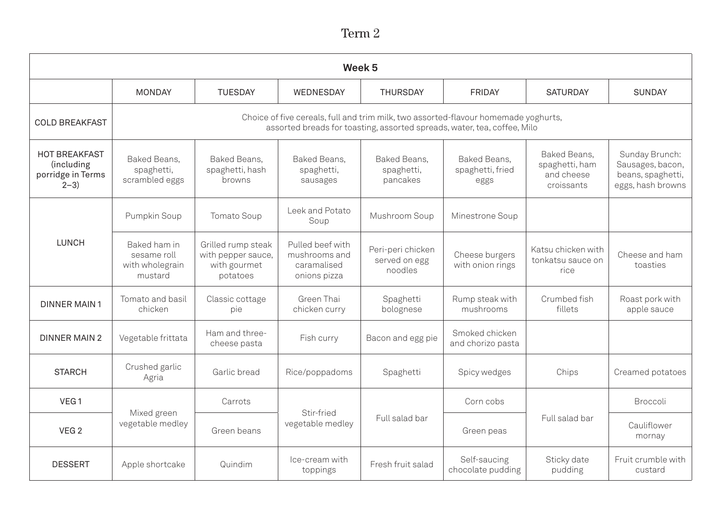## Term 2

| Week <sub>5</sub>                                                    |                                                                                                                                                                 |                                                                      |                                                                  |                                               |                                          |                                                            |                                                                              |  |
|----------------------------------------------------------------------|-----------------------------------------------------------------------------------------------------------------------------------------------------------------|----------------------------------------------------------------------|------------------------------------------------------------------|-----------------------------------------------|------------------------------------------|------------------------------------------------------------|------------------------------------------------------------------------------|--|
|                                                                      | <b>MONDAY</b>                                                                                                                                                   | <b>TUESDAY</b>                                                       | WEDNESDAY                                                        | <b>THURSDAY</b>                               | <b>FRIDAY</b>                            | <b>SATURDAY</b>                                            | <b>SUNDAY</b>                                                                |  |
| <b>COLD BREAKFAST</b>                                                | Choice of five cereals, full and trim milk, two assorted-flavour homemade yoghurts,<br>assorted breads for toasting, assorted spreads, water, tea, coffee, Milo |                                                                      |                                                                  |                                               |                                          |                                                            |                                                                              |  |
| <b>HOT BREAKFAST</b><br>(including<br>porridge in Terms<br>$2 - 3$ ) | Baked Beans,<br>spaghetti,<br>scrambled eggs                                                                                                                    | Baked Beans,<br>spaghetti, hash<br>browns                            | Baked Beans,<br>spaghetti,<br>sausages                           | Baked Beans,<br>spaghetti,<br>pancakes        | Baked Beans,<br>spaghetti, fried<br>eggs | Baked Beans,<br>spaghetti, ham<br>and cheese<br>croissants | Sunday Brunch:<br>Sausages, bacon,<br>beans, spaghetti,<br>eggs, hash browns |  |
| <b>LUNCH</b>                                                         | Pumpkin Soup                                                                                                                                                    | Tomato Soup                                                          | Leek and Potato<br>Soup                                          | Mushroom Soup                                 | Minestrone Soup                          |                                                            |                                                                              |  |
|                                                                      | Baked ham in<br>sesame roll<br>with wholegrain<br>mustard                                                                                                       | Grilled rump steak<br>with pepper sauce,<br>with gourmet<br>potatoes | Pulled beef with<br>mushrooms and<br>caramalised<br>onions pizza | Peri-peri chicken<br>served on egg<br>noodles | Cheese burgers<br>with onion rings       | Katsu chicken with<br>tonkatsu sauce on<br>rice            | Cheese and ham<br>toasties                                                   |  |
| <b>DINNER MAIN1</b>                                                  | Tomato and basil<br>chicken                                                                                                                                     | Classic cottage<br>pie                                               | Green Thai<br>chicken curry                                      | Spaghetti<br>bolognese                        | Rump steak with<br>mushrooms             | Crumbed fish<br>fillets                                    | Roast pork with<br>apple sauce                                               |  |
| <b>DINNER MAIN 2</b>                                                 | Vegetable frittata                                                                                                                                              | Ham and three-<br>cheese pasta                                       | Fish curry                                                       | Bacon and egg pie                             | Smoked chicken<br>and chorizo pasta      |                                                            |                                                                              |  |
| <b>STARCH</b>                                                        | Crushed garlic<br>Agria                                                                                                                                         | Garlic bread                                                         | Rice/poppadoms                                                   | Spaghetti                                     | Spicy wedges                             | Chips                                                      | Creamed potatoes                                                             |  |
| VEG <sub>1</sub>                                                     | Mixed green<br>vegetable medley                                                                                                                                 | Carrots                                                              |                                                                  | Full salad bar                                | Corn cobs                                | Full salad bar                                             | Broccoli                                                                     |  |
| VEG <sub>2</sub>                                                     |                                                                                                                                                                 | Green beans                                                          | Stir-fried<br>vegetable medley                                   |                                               | Green peas                               |                                                            | Cauliflower<br>mornay                                                        |  |
| <b>DESSERT</b>                                                       | Apple shortcake                                                                                                                                                 | Quindim                                                              | Ice-cream with<br>toppings                                       | Fresh fruit salad                             | Self-saucing<br>chocolate pudding        | Sticky date<br>pudding                                     | Fruit crumble with<br>custard                                                |  |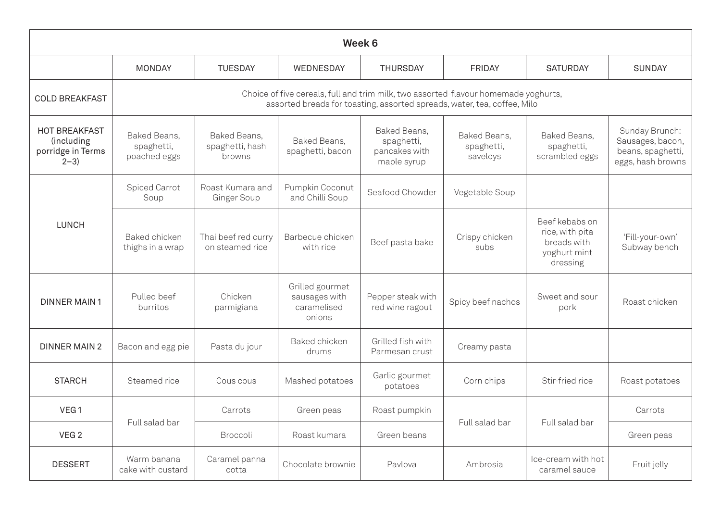| Week 6                                                             |                                                                                                                                                                 |                                           |                                                           |                                                            |                                        |                                                                              |                                                                              |  |
|--------------------------------------------------------------------|-----------------------------------------------------------------------------------------------------------------------------------------------------------------|-------------------------------------------|-----------------------------------------------------------|------------------------------------------------------------|----------------------------------------|------------------------------------------------------------------------------|------------------------------------------------------------------------------|--|
|                                                                    | <b>MONDAY</b>                                                                                                                                                   | <b>TUESDAY</b>                            | WEDNESDAY                                                 | <b>THURSDAY</b>                                            | <b>FRIDAY</b>                          | <b>SATURDAY</b>                                                              | <b>SUNDAY</b>                                                                |  |
| <b>COLD BREAKFAST</b>                                              | Choice of five cereals, full and trim milk, two assorted-flavour homemade yoghurts,<br>assorted breads for toasting, assorted spreads, water, tea, coffee, Milo |                                           |                                                           |                                                            |                                        |                                                                              |                                                                              |  |
| <b>HOT BREAKFAST</b><br>(including<br>porridge in Terms<br>$2 - 3$ | Baked Beans,<br>spaghetti,<br>poached eggs                                                                                                                      | Baked Beans,<br>spaghetti, hash<br>browns | Baked Beans,<br>spaghetti, bacon                          | Baked Beans,<br>spaghetti,<br>pancakes with<br>maple syrup | Baked Beans,<br>spaghetti,<br>saveloys | Baked Beans,<br>spaghetti,<br>scrambled eggs                                 | Sunday Brunch:<br>Sausages, bacon,<br>beans, spaghetti,<br>eggs, hash browns |  |
| <b>LUNCH</b>                                                       | Spiced Carrot<br>Soup                                                                                                                                           | Roast Kumara and<br>Ginger Soup           | Pumpkin Coconut<br>and Chilli Soup                        | Seafood Chowder                                            | Vegetable Soup                         |                                                                              |                                                                              |  |
|                                                                    | Baked chicken<br>thighs in a wrap                                                                                                                               | Thai beef red curry<br>on steamed rice    | Barbecue chicken<br>with rice                             | Beef pasta bake                                            | Crispy chicken<br>subs                 | Beef kebabs on<br>rice, with pita<br>breads with<br>yoghurt mint<br>dressing | 'Fill-your-own'<br>Subway bench                                              |  |
| <b>DINNER MAIN1</b>                                                | Pulled beef<br>burritos                                                                                                                                         | Chicken<br>parmigiana                     | Grilled gourmet<br>sausages with<br>caramelised<br>onions | Pepper steak with<br>red wine ragout                       | Spicy beef nachos                      | Sweet and sour<br>pork                                                       | Roast chicken                                                                |  |
| <b>DINNER MAIN 2</b>                                               | Bacon and egg pie                                                                                                                                               | Pasta du jour                             | Baked chicken<br>drums                                    | Grilled fish with<br>Parmesan crust                        | Creamy pasta                           |                                                                              |                                                                              |  |
| <b>STARCH</b>                                                      | Steamed rice                                                                                                                                                    | Cous cous                                 | Mashed potatoes                                           | Garlic gourmet<br>potatoes                                 | Corn chips                             | Stir-fried rice                                                              | Roast potatoes                                                               |  |
| VEG <sub>1</sub>                                                   | Full salad bar                                                                                                                                                  | Carrots                                   | Green peas                                                | Roast pumpkin                                              | Full salad bar                         | Full salad bar                                                               | Carrots                                                                      |  |
| VEG <sub>2</sub>                                                   |                                                                                                                                                                 | Broccoli                                  | Roast kumara                                              | Green beans                                                |                                        |                                                                              | Green peas                                                                   |  |
| <b>DESSERT</b>                                                     | Warm banana<br>cake with custard                                                                                                                                | Caramel panna<br>cotta                    | Chocolate brownie                                         | Pavlova                                                    | Ambrosia                               | Ice-cream with hot<br>caramel sauce                                          | Fruit jelly                                                                  |  |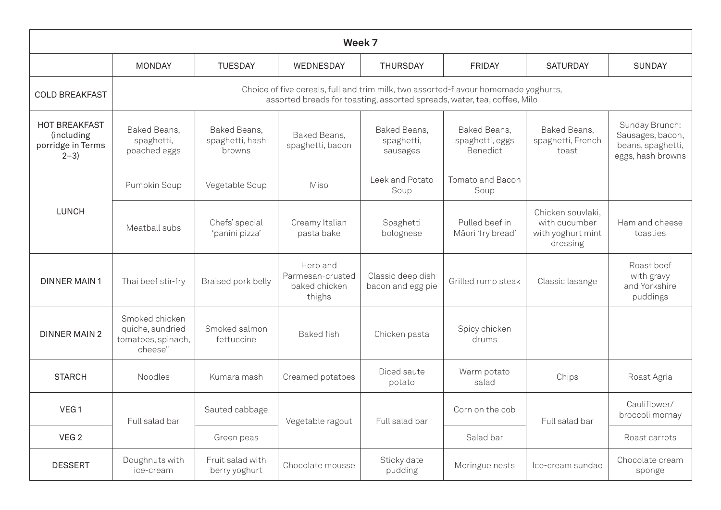| Week 7                                                             |                                                                                                                                                                 |                                           |                                                         |                                        |                                             |                                                                     |                                                                              |  |  |
|--------------------------------------------------------------------|-----------------------------------------------------------------------------------------------------------------------------------------------------------------|-------------------------------------------|---------------------------------------------------------|----------------------------------------|---------------------------------------------|---------------------------------------------------------------------|------------------------------------------------------------------------------|--|--|
|                                                                    | <b>MONDAY</b>                                                                                                                                                   | <b>TUESDAY</b>                            | WEDNESDAY                                               | <b>THURSDAY</b>                        | <b>FRIDAY</b>                               | <b>SATURDAY</b>                                                     | <b>SUNDAY</b>                                                                |  |  |
| <b>COLD BREAKFAST</b>                                              | Choice of five cereals, full and trim milk, two assorted-flavour homemade yoghurts,<br>assorted breads for toasting, assorted spreads, water, tea, coffee, Milo |                                           |                                                         |                                        |                                             |                                                                     |                                                                              |  |  |
| <b>HOT BREAKFAST</b><br>(including<br>porridge in Terms<br>$2 - 3$ | Baked Beans,<br>spaghetti,<br>poached eggs                                                                                                                      | Baked Beans,<br>spaghetti, hash<br>browns | Baked Beans,<br>spaghetti, bacon                        | Baked Beans,<br>spaghetti,<br>sausages | Baked Beans,<br>spaghetti, eggs<br>Benedict | Baked Beans,<br>spaghetti, French<br>toast                          | Sunday Brunch:<br>Sausages, bacon,<br>beans, spaghetti,<br>eggs, hash browns |  |  |
| <b>LUNCH</b>                                                       | Pumpkin Soup                                                                                                                                                    | Vegetable Soup                            | Miso                                                    | Leek and Potato<br>Soup                | Tomato and Bacon<br>Soup                    |                                                                     |                                                                              |  |  |
|                                                                    | Meatball subs                                                                                                                                                   | Chefs' special<br>'panini pizza'          | Creamy Italian<br>pasta bake                            | Spaghetti<br>bolognese                 | Pulled beef in<br>Māori 'fry bread'         | Chicken souvlaki,<br>with cucumber<br>with yoghurt mint<br>dressing | Ham and cheese<br>toasties                                                   |  |  |
| <b>DINNER MAIN1</b>                                                | Thai beef stir-fry                                                                                                                                              | Braised pork belly                        | Herb and<br>Parmesan-crusted<br>baked chicken<br>thighs | Classic deep dish<br>bacon and egg pie | Grilled rump steak                          | Classic lasange                                                     | Roast beef<br>with gravy<br>and Yorkshire<br>puddings                        |  |  |
| <b>DINNER MAIN 2</b>                                               | Smoked chicken<br>quiche, sundried<br>tomatoes, spinach,<br>cheese"                                                                                             | Smoked salmon<br>fettuccine               | <b>Baked</b> fish                                       | Chicken pasta                          | Spicy chicken<br>drums                      |                                                                     |                                                                              |  |  |
| <b>STARCH</b>                                                      | Noodles                                                                                                                                                         | Kumara mash                               | Creamed potatoes                                        | Diced saute<br>potato                  | Warm potato<br>salad                        | Chips                                                               | Roast Agria                                                                  |  |  |
| VEG <sub>1</sub>                                                   | Full salad bar                                                                                                                                                  | Sauted cabbage                            | Vegetable ragout                                        | Full salad bar                         | Corn on the cob                             | Full salad bar                                                      | Cauliflower/<br>broccoli mornay                                              |  |  |
| VEG <sub>2</sub>                                                   |                                                                                                                                                                 | Green peas                                |                                                         |                                        | Salad bar                                   |                                                                     | Roast carrots                                                                |  |  |
| <b>DESSERT</b>                                                     | Doughnuts with<br>ice-cream                                                                                                                                     | Fruit salad with<br>berry yoghurt         | Chocolate mousse                                        | Sticky date<br>pudding                 | Meringue nests                              | Ice-cream sundae                                                    | Chocolate cream<br>sponge                                                    |  |  |